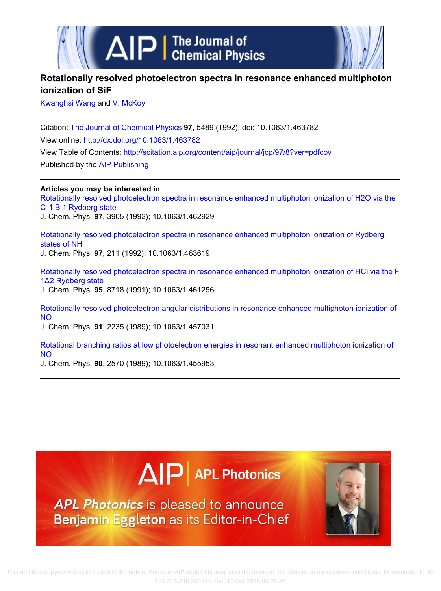

# **Rotationally resolved photoelectron spectra in resonance enhanced multiphoton ionization of SiF**

[Kwanghsi Wang](http://scitation.aip.org/search?value1=Kwanghsi+Wang&option1=author) and [V. McKoy](http://scitation.aip.org/search?value1=V.+McKoy&option1=author)

Citation: [The Journal of Chemical Physics](http://scitation.aip.org/content/aip/journal/jcp?ver=pdfcov) **97**, 5489 (1992); doi: 10.1063/1.463782 View online:<http://dx.doi.org/10.1063/1.463782> View Table of Contents: <http://scitation.aip.org/content/aip/journal/jcp/97/8?ver=pdfcov> Published by the [AIP Publishing](http://scitation.aip.org/content/aip?ver=pdfcov)

**Articles you may be interested in** [Rotationally resolved photoelectron spectra in resonance enhanced multiphoton ionization of H2O via the](http://scitation.aip.org/content/aip/journal/jcp/97/6/10.1063/1.462929?ver=pdfcov) [C  1 B 1 Rydberg state](http://scitation.aip.org/content/aip/journal/jcp/97/6/10.1063/1.462929?ver=pdfcov) J. Chem. Phys. **97**, 3905 (1992); 10.1063/1.462929

[Rotationally resolved photoelectron spectra in resonance enhanced multiphoton ionization of Rydberg](http://scitation.aip.org/content/aip/journal/jcp/97/1/10.1063/1.463619?ver=pdfcov) [states of NH](http://scitation.aip.org/content/aip/journal/jcp/97/1/10.1063/1.463619?ver=pdfcov) J. Chem. Phys. **97**, 211 (1992); 10.1063/1.463619

[Rotationally resolved photoelectron spectra in resonance enhanced multiphoton ionization of HCl via the F](http://scitation.aip.org/content/aip/journal/jcp/95/12/10.1063/1.461256?ver=pdfcov) [1Δ2 Rydberg state](http://scitation.aip.org/content/aip/journal/jcp/95/12/10.1063/1.461256?ver=pdfcov) J. Chem. Phys. **95**, 8718 (1991); 10.1063/1.461256

[Rotationally resolved photoelectron angular distributions in resonance enhanced multiphoton ionization of](http://scitation.aip.org/content/aip/journal/jcp/91/4/10.1063/1.457031?ver=pdfcov) [NO](http://scitation.aip.org/content/aip/journal/jcp/91/4/10.1063/1.457031?ver=pdfcov)

J. Chem. Phys. **91**, 2235 (1989); 10.1063/1.457031

[Rotational branching ratios at low photoelectron energies in resonant enhanced multiphoton ionization of](http://scitation.aip.org/content/aip/journal/jcp/90/5/10.1063/1.455953?ver=pdfcov) [NO](http://scitation.aip.org/content/aip/journal/jcp/90/5/10.1063/1.455953?ver=pdfcov)

J. Chem. Phys. **90**, 2570 (1989); 10.1063/1.455953

# $\Delta$   $\vert P \vert$  APL Photonics

**APL Photonics** is pleased to announce Benjamin Eggleton as its Editor-in-Chief

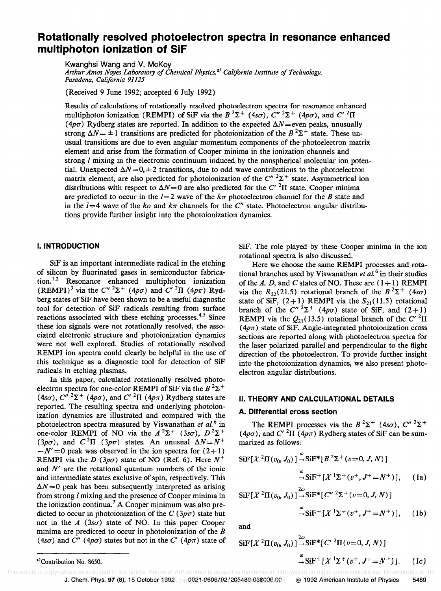# Rotationally resolved photoelectron spectra in resonance enhanced multiphoton ionization of SiF

Kwanghsi Wang and V. McKoy *Arthur Amos Noyes Laboratory of Chemical Physics,* a) *California Institute of Technology, Pasadena, California 91125* 

(Received 9 June 1992; accepted 6 July 1992)

Results of calculations of rotationally resolved photoelectron spectra for resonance enhanced multiphoton ionization (REMPI) of SiF via the  $B^2\Sigma^+$  (4s $\sigma$ ),  $C''^2\Sigma^+$  (4p $\sigma$ ), and  $C'^2\Pi$ ( $4p\pi$ ) Rydberg states are reported. In addition to the expected  $\Delta N$  = even peaks, unusually strong  $\Delta N = \pm 1$  transitions are predicted for photoionization of the  $B^2\Sigma^+$  state. These unusual transitions are due to even angular momentum components of the photoelectron matrix element and arise from the formation of Cooper minima in the ionization channels and strong  *mixing in the electronic continuum induced by the nonspherical molecular ion poten*tial. Unexpected  $\Delta N = 0, \pm 2$  transitions, due to odd wave contributions to the photoelectron matrix element, are also predicted for photoionization of the  $C''^{2}\Sigma^{+}$  state. Asymmetrical ion distributions with respect to  $\Delta N=0$  are also predicted for the C'<sup>2</sup>II state. Cooper minima are predicted to occur in the  $l=2$  wave of the  $k\pi$  photoelectron channel for the B state and in the  $l=4$  wave of the ko and k $\pi$  channels for the C" state. Photoelectron angular distributions provide further insight into the photoionization dynamics.

#### I. INTRODUCTION

SiF is an important intermediate radical in the etching of silicon by fluorinated gases in semiconductor fabrication.<sup>1,2</sup> Resonance enhanced multiphoton ionization (REMPI)<sup>3</sup> via the  $C''^{2}\Sigma^{+}$  (4p $\sigma$ ) and  $C''^{2}\Pi$  (4p $\pi$ ) Rydberg states of SiF have been shown to be a useful diagnostic tool for detection of SiF radicals resulting from surface reactions associated with these etching processes.<sup>4,5</sup> Since these ion signals were not rotationally resolved, the associated electronic structure and photoionization dynamics were not well explored. Studies of rotationally resolved REMPI ion spectra could clearly be helpful in the use of this technique as a diagnostic tool for detection of SiF radicals in etching plasmas.

In this paper, calculated rotationally resolved photoelectron spectra for one-color REMPI of SiF via the  $B^2\Sigma^+$ (4so),  $C''^{2}\Sigma^{+}$  (4po), and  $C'$  <sup>2</sup> $\Pi$  (4p $\pi$ ) Rydberg states are reported. The resulting spectra and underlying photoionization dynamics are illustrated and compared with the photoelectron spectra measured by Viswanathan *et al. <sup>6</sup>*in one-color REMPI of NO via the  $A^2\Sigma^+$  (3s $\sigma$ ),  $D^2\Sigma^+$ (3p $\sigma$ ), and  $C^2\Pi$  (3p $\pi$ ) states. An unusual  $\Delta N = N^+$  $-N' = 0$  peak was observed in the ion spectra for  $(2+1)$ REMPI via the D (3p $\sigma$ ) state of NO (Ref. 6). Here  $N^+$ and *N'* are the rotational quantum numbers of the ionic and intermediate states exclusive of spin, respectively. This  $\Delta N = 0$  peak has been subsequently interpreted as arising from strong I mixing and the presence of Cooper minima in the ionization continua.<sup>7</sup> A Cooper minimum was also predicted to occur in photoionization of the  $C(3p\pi)$  state but not in the  $A(3s\sigma)$  state of NO. In this paper Cooper minima are predicted to occur in photoionization of the  $B$ (4s $\sigma$ ) and C'' (4p $\sigma$ ) states but not in the C' (4p $\pi$ ) state of

SiF. The role played by these Cooper minima in the ion rotational spectra is also discussed.

Here we choose the same REMPI processes and rotational branches used by Viswanathan  $e\bar{t}$  al.<sup>6</sup> in their studies of the *A, D,* and C states of NO. These are  $(1+1)$  REMPI via the  $R_{22}(21.5)$  rotational branch of the  $B^2\Sigma^+$  (4s $\sigma$ ) state of SiF,  $(2+1)$  REMPI via the  $S_{21}(11.5)$  rotational branch of the  $C''^{2}\Sigma^{+}$  (4p $\sigma$ ) state of SiF, and (2+1) **REMPI** via the  $Q_{21}$ (13.5) rotational branch of the C'<sup>2</sup>II  $(4p\pi)$  state of SiF. Angle-integrated photoionization cross sections are reported along with photoelectron spectra for the laser polarized parallel and perpendicular to the flight direction of the photoelectron. To provide further insight into the photoionization dynamics, we also present photoelectron angular distributions.

#### II. THEORY AND CALCULATIONAL DETAILS

#### A. Differential cross section

The REMPI processes via the  $B^2\Sigma^+$  (4s $\sigma$ ),  $C''^2\Sigma^+$  $(4p\sigma)$ , and C' <sup>2</sup>II ( $4p\pi$ ) Rydberg states of SiF can be summarized as follows:

$$
SiF[X^{2}\Pi(v_{0}, J_{0})] \stackrel{\omega}{\rightarrow} SiF^{*}[B^{2}\Sigma^{+}(v=0, J, N)]
$$
  

$$
\stackrel{\omega}{\rightarrow} SiF^{+}[X^{1}\Sigma^{+}(v^{+}, J^{+}=N^{+})], \quad (1a)
$$

$$
SIF[X2\Pi(v_0, J_0)] \rightarrow SIF^{*}[C''^{2}\Sigma^{+}(v=0, J, N)]
$$
  

$$
\rightarrow SIF^{+}[X1\Sigma^{+}(v^{+}, J^{+}=N^{+})], \quad (1b)
$$

and

$$
SIF[X2 \Pi(v_0, J_0)] \xrightarrow{\alpha} SIF^*[C'2 \Pi(v=0, J, N)]
$$
  
\n
$$
\xrightarrow{\alpha} SIF^+[X1 \Sigma^+(v^+, J^+=N^+)].
$$
 (1c)

<sup>&</sup>lt;sup>\*</sup>Contribution No. 8650.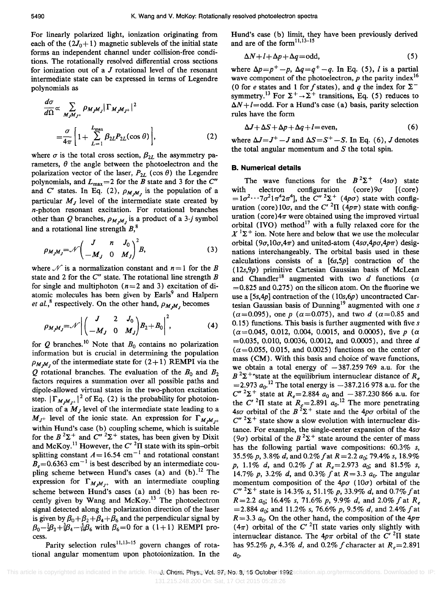For linearly polarized light, ionization originating from each of the  $(2J_0+1)$  magnetic sublevels of the initial state forms an independent channel under collision-free conditions. The rotationally resolved differential cross sections for ionization out of a  $J$  rotational level of the resonant intermediate state can be expressed in terms of Legendre polynomials as

$$
\frac{d\sigma}{d\Omega} \propto \sum_{M_J M_J +} \rho_{M_J M_J} |\Gamma_{M_J M_J +}|^2
$$
  
=  $\frac{\sigma}{4\pi} \left[ 1 + \sum_{L=1}^{L_{\text{max}}} \beta_{2L} P_{2L}(\cos \theta) \right],$  (2)

where  $\sigma$  is the total cross section,  $\beta_{2L}$  the asymmetry parameters,  $\theta$  the angle between the photoelectron and the polarization vector of the laser,  $P_{2L}$  (cos  $\theta$ ) the Legendre polynomials, and  $L_{\text{max}} = 2$  for the B state and 3 for the C" and C' states. In Eq. (2),  $\rho_{M,M}$ , is the population of a particular  $M_J$  level of the intermediate state created by n-photon resonant excitation. For rotational branches other than Q branches,  $\rho_{M,M}$  is a product of a 3-j symbol and a rotational line strength B,*<sup>8</sup>*

$$
\rho_{M_J M_J} = \mathcal{N} \begin{pmatrix} J & n & J_0 \\ -M_J & 0 & M_J \end{pmatrix}^2 B, \tag{3}
$$

where  $\mathscr N$  is a normalization constant and  $n = 1$  for the *B* state and 2 for the  $C''$  state. The rotational line strength  $B$ for single and multiphoton ( $n = 2$  and 3) excitation of diatomic molecules has been given by Earls<sup>9</sup> and Halpern *et al.*,<sup>8</sup> respectively. On the other hand,  $\rho_{M,M}$  becomes

$$
\rho_{M_jM_j} = \mathcal{N} \left| \begin{pmatrix} J & 2 & J_0 \\ -M_J & 0 & M_J \end{pmatrix} B_2 + B_0 \right|^2, \tag{4}
$$

for  $Q$  branches.<sup>10</sup> Note that  $B_0$  contains no polarization information but is crucial in determining the population  $\rho_{M,M_J}$  of the intermediate state for  $(2+1)$  REMPI via the  $Q$  rotational branches. The evaluation of the  $B_0$  and  $B_2$ factors requires a summation over all possible paths and dipole-allowed virtual states in the two-photon excitation step.  $|\Gamma_{M,M_{I^+}}|^2$  of Eq. (2) is the probability for photoionization of a  $M_J$  level of the intermediate state leading to a  $M_{J^+}$  level of the ionic state. An expression for  $\Gamma_{M,M_{I^+}}$ within Hund's case (b) coupling scheme, which is suitable for the  $B^2\Sigma^+$  and  $C''^2\Sigma^+$  states, has been given by Dixit and McKoy.<sup>11</sup> However, the C' <sup>2</sup> $\Pi$  state with its spin-orbit splitting constant  $A = 16.54$  cm<sup>-1</sup> and rotational constant  $B_e$ =0.6363 cm<sup>-1</sup> is best described by an intermediate coupling scheme between Hund's cases (a) and  $(b)$ .<sup>12</sup> The expression for  $\Gamma_{M,M_{t+}}$  with an intermediate coupling scheme between Hund's cases (a) and (b) has been recently given by Wang and McKoy.<sup>13</sup> The photoelectron signal detected along the polarization direction of the laser is given by  $\beta_0 + \beta_2 + \beta_4 + \beta_6$  and the perpendicular signal by  $\beta_0-\frac{1}{2}\beta_2+\frac{3}{8}\beta_4-\frac{5}{16}\beta_6$  with  $\beta_6=0$  for a (1+1) REMPI process.

Parity selection rules<sup>11,13-15</sup> govern changes of rotational angular momentum upon photoionization. In the Hund's case (b) limit, they have been previously derived and are of the form<sup>11,13-15</sup>

$$
\Delta N + l + \Delta p + \Delta q = \text{odd},\tag{5}
$$

where  $\Delta p = p^+ - p$ ,  $\Delta q = q^+ - q$ . In Eq. (5), *l* is a partial wave component of the photoelectron,  $p$  the parity index<sup>16</sup> (0 for *e* states and 1 for *f* states), and *q* the index for  $\Sigma^$ symmetry.<sup>13</sup> For  $\Sigma^+ \rightarrow \Sigma^+$  transitions, Eq. (5) reduces to  $\Delta N + l =$ odd. For a Hund's case (a) basis, parity selection rules have the form

$$
\Delta J + \Delta S + \Delta p + \Delta q + l = \text{even},\tag{6}
$$

where  $\Delta J = J^+ - J$  and  $\Delta S = S^+ - S$ . In Eq. (6), J denotes the total angular momentum and  $S$  the total spin.

#### **B. Numerical details**

The wave functions for the  $B^2\Sigma^+$  (4s $\sigma$ ) state with electron configuration (core)  $9\sigma$  [(core)  $=1\sigma^2\cdots7\sigma^21\pi^42\pi^4$ , the C''  $^2\Sigma^+$  *(4p* $\sigma$ *)* state with configuration (core)  $10\sigma$ , and the C' <sup>2</sup>II ( $4p\pi$ ) state with configuration (core) $4\pi$  were obtained using the improved virtual orbital (IVO) method<sup>17</sup> with a fully relaxed core for the  $X<sup>1</sup>\Sigma<sup>+</sup>$  ion. Note here and below that we use the molecular orbital  $(9\sigma, 10\sigma, 4\pi)$  and united-atom  $(4s\sigma, 4p\sigma, 4p\pi)$  designations interchangeably. The orbital basis used in these calculations consists of a *[6s,5p]* contraction of the ( *12s,9p)* primitive Cartesian Gaussian basis of McLean and Chandler<sup>18</sup> augmented with two d functions ( $\alpha$  $=0.825$  and 0.275) on the silicon atom. On the fluorine we use a *[5s,4p]* contraction of the *(lOs,6p)* uncontracted Cartesian Gaussian basis of Dunning<sup>19</sup> augmented with one  $s$  $(\alpha=0.095)$ , one p ( $\alpha=0.075$ ), and two d ( $\alpha=0.85$  and 0.15) functions. This basis is further augmented with five *s*   $(\alpha=0.045, 0.012, 0.004, 0.0015, \text{ and } 0.0005)$ , five *p* ( $\alpha$  $=0.035, 0.010, 0.0036, 0.0012,$  and 0.0005), and three d  $(\alpha=0.055, 0.015, \text{ and } 0.0025)$  functions on the center of mass (CM). With this basis and choice of wave functions, we obtain a total energy of  $-387.259769$  a.u. for the  $B^2\Sigma^+$  state at the equilibrium internuclear distance of  $R_a$  $=$  2.973  $a_0$ .<sup>12</sup> The total energy is  $-387.216978$  a.u. for the  $C''^{2}\Sigma^{+}$  state at  $R_{e} = 2.884$   $a_0$  and  $-387.230866$  a.u. for the C'<sup>2</sup>II state at  $R_g$ =2.891  $a_0$ <sup>12</sup> The more penetrating *4so* orbital of the  $B^2\Sigma^+$  state and the *4po* orbital of the  $C''$  <sup>2</sup> $\Sigma$ <sup>+</sup> state show a slow evolution with internuclear distance. For example, the single-center expansion of the  $4s\sigma$ (9 $\sigma$ ) orbital of the  $B^2\Sigma^+$  state around the center of mass has the following partial wave compositions: 60.3% *s, 35.5% p,* 3.8% d, and 0.2%/at *R=2.2 ao;* 79.4% *s, 18.9% p,* 1.1% d, and 0.2% / at *Re=2.973 ao;* and 81.5% *s,*  14.7% p, 3.2% d, and 0.3% f at  $R = 3.3$  a<sub>0</sub>. The angular momentum composition of the  $4p\sigma(10\sigma)$  orbital of the  $C''$  <sup>2</sup> $\Sigma$ <sup>+</sup> state is 14.3% *s*, 51.1% *p*, 33.9% *d*, and 0.7% *f* at *R=2.2 ao;* 16.4% *s,* 71.6% *p,* 9.9% d, and 2.0%/at *Re =2.884 ao;* and 11.2% *s,* 76.6% *p,* 9.5% d, and 2.4%/at  $R = 3.3$   $a_0$ . On the other hand, the composition of the  $4p\pi$  $(4\pi)$  orbital of the C'<sup>2</sup>II state varies only slightly with internuclear distance. The  $4p\pi$  orbital of the C'<sup>2</sup>II state has 95.2% *p,* 4.3% *d,* and 0.2% / character at *Re= 2.891 ao·*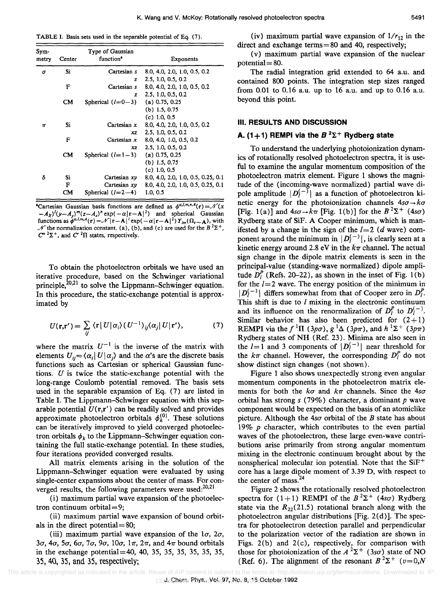TABLE I. Basis sets used in the separable potential of Eq. (7).

| Sym-<br>metry | Center    | Type of Gaussian<br>function <sup>*</sup> | <b>Exponents</b>                   |
|---------------|-----------|-------------------------------------------|------------------------------------|
| σ             | Si        | Cartesian s                               | 8.0, 4.0, 2.0, 1.0, 0.5, 0.2       |
|               |           | z                                         | 2.5, 1.0, 0.5, 0.2                 |
|               | F         | Cartesian s                               | 8.0, 4.0, 2.0, 1.0, 0.5, 0.2       |
|               |           | z                                         | 2.5, 1.0, 0.5, 0.2                 |
|               | CM        | Spherical $(l=0-3)$                       | $(a)$ 0.75, 0.25                   |
|               |           |                                           | $(b)$ 1.5, 0.75                    |
|               |           |                                           | $(c)$ 1.0, 0.5                     |
| π             | Si        | Cartesian $x$                             | 8.0, 4.0, 2.0, 1.0, 0.5, 0.2       |
|               |           | XZ.                                       | 2.5, 1.0, 0.5, 0.2                 |
|               | F         | Cartesian x                               | 8.0, 4.0, 1.0, 0.5, 0.2            |
|               |           | xz                                        | 2.5, 1.0, 0.5, 0.2                 |
|               | <b>CM</b> | Spherical $(l=1-3)$                       | $(a)$ 0.75, 0.25                   |
|               |           |                                           | (b) $1.5, 0.75$                    |
|               |           |                                           | $(c)$ 1.0, 0.5                     |
| δ             | Si        | Cartesian $xy$                            | 8.0, 4.0, 2.0, 1.0, 0.5, 0.25, 0.1 |
|               | F         | Cartesian xy                              | 8.0, 4.0, 2.0, 1.0, 0.5, 0.25, 0.1 |
|               | CМ        | Spherical $(l=2-4)$                       | 1.0, 0.5                           |

<sup>&</sup>lt;sup>a</sup>Cartesian Gaussian basis functions are defined as  $\phi^{\alpha, l, m, n, A}(\mathbf{r}) = \mathcal{N}(x)$  $(-A_x)^{i}(y-A_y)^{m}(z-A_z)^{n}$  exp(  $-\alpha |x-A_z|^{2}$ ) and spherical Gaussian functions as  $\oint^{\alpha, l, m, A} (r) = \mathcal{N} |r - A|^l \exp(-\alpha |r - A|^2) Y_{lm}(\Omega_{r - A}),$  with  $\mathcal{N}$  the normalization constant. (a), (b), and (c) are used for the  $B^2\Sigma^+$ ,  $C''$   $2\Sigma^+$ , and  $C'$   $2\Pi$  states, respectively.

To obtain the photoelectron orbitals we have used an iterative procedure, based on the Schwinger variational principle, $^{20,21}$  to solve the Lippmann-Schwinger equation. In this procedure, the static-exchange potential is approximated by

$$
U(\mathbf{r}, \mathbf{r}') = \sum_{ij} \langle \mathbf{r} | U | \alpha_i \rangle (U^{-1})_{ij} \langle \alpha_j | U | \mathbf{r}' \rangle, \tag{7}
$$

where the matrix  $U^{-1}$  is the inverse of the matrix with elements  $U_{ij} = \langle \alpha_i | U | \alpha_j \rangle$  and the  $\alpha$ 's are the discrete basis functions such as Cartesian or spherical Gaussian functions.  $U$  is twice the static-exchange potential with the long-range Coulomb potential removed. The basis sets used in the separable expansion of Eq. (7) are listed in Table I. The Lippmann-Schwinger equation with this separable potential  $U(\mathbf{r}, \mathbf{r}')$  can be readily solved and provides approximate photoelectron orbitals  $\phi_k^{(0)}$ . These solutions can be iteratively improved to yield converged photoelectron orbitals  $\phi_k$  to the Lippmann-Schwinger equation containing the full static-exchange potential. In these studies, four iterations provided converged results.

All matrix elements arising in the solution of the Lippmann-Schwinger equation were evaluated by using single-center expansions about the center of mass. For converged results, the following parameters were used: $20,21$ 

(i) maximum partial wave expansion of the photoelectron continuum orbital=9;

(ii) maximum partial wave expansion of bound orbitals in the direct potential  $= 80$ ;

(iii) maximum partial wave expansion of the  $1\sigma$ ,  $2\sigma$ ,  $3\sigma$ ,  $4\sigma$ ,  $5\sigma$ ,  $6\sigma$ ,  $7\sigma$ ,  $9\sigma$ ,  $10\sigma$ ,  $1\pi$ ,  $2\pi$ , and  $4\pi$  bound orbitals in the exchange potential=4O, 40, 35, 35, 35, 35, 35, 35, 35, 40, 35, and 35, respectively;

(v) maximum partial wave expansion of the nuclear potential  $= 80$ .

The radial integration grid extended to 64 a.u. and contained 800 points. The integration step sizes ranged from 0.01 to 0.16 a.u. up to 16 a.u. and up to 0.16 a.u. beyond this point.

## **III. RESULTS AND DISCUSSION**

## **A.** (1+1) REMPI via the  $B^2\Sigma^+$  Rydberg state

To understand the underlying photoionization dynamics of rotationally resolved photoelectron spectra, it is useful to examine the angular momentum composition of the photoelectron matrix element. Figure 1 shows the magnitude of the (incoming-wave normalized) partial wave dipole amplitude  $|D_{l}^{(-)}|$  as a function of photoelectron kinetic energy for the photoionization channels  $4s\sigma \rightarrow k\sigma$ [Fig. 1(a)] and  $4s\sigma \rightarrow k\pi$  [Fig. 1(b)] for the  $B^2\Sigma^+$  (4s $\sigma$ ) Rydberg state of SiF. A Cooper minimum, which is manifested by a change in the sign of the  $l=2$  (d wave) component around the minimum in  $|D_i^{(-)}|$ , is clearly seen at a kinetic energy around 2.8 eV in the  $k\pi$  channel. The actual sign change in the dipole matrix elements is seen in the principal-value (standing-wave normalized) dipole amplitude  $D_i^P$  (Refs. 20–22), as shown in the inset of Fig. 1(b) for the  $l = 2$  wave. The energy position of the minimum in  $|D_i^{(-)}|$  differs somewhat from that of Cooper zero in  $D_i^P$ . This shift is due to  $l$  mixing in the electronic continuum and its influence on the renormalization of  $D_l^P$  to  $D_l^{(-)}$ . Similar behavior has also been predicted for  $(2+1)$ **REMPI** via the  $f^{-1}\Pi$  (3p $\sigma$ ),  $g^{-1}\Delta$  (3p $\pi$ ), and  $h^{-1}\Sigma^+$  (3p $\pi$ ) Rydberg states of NH (Ref. 23). Minima are also seen in the  $l=1$  and 3 components of  $|D_l^{(-)}|$  near threshold for the  $k\pi$  channel. However, the corresponding  $D_l^P$  do not show distinct sign changes (not shown).

Figure 1 also shows unexpectedly strong even angular momentum components in the photoelectron matrix elements for both the  $k\sigma$  and  $k\pi$  channels. Since the  $4s\sigma$ orbital has strong s (79%) character, a dominant *p* wave component would be expected on the basis of an atomiclike picture. Although the *4sa* orbital of the *B* state has about 19% *p* character, which contributes to the even partial waves of the photoelectron, these large even-wave contributions arise primarily from strong angular momentum mixing in the electronic continuum brought about by the nonspherical molecular ion potential. Note that the  $SiF^+$ core has a large dipole moment of 3.39 D, with respect to the center of mass.<sup>24</sup>

Figure 2 shows the rotationally resolved photoelectron spectra for  $(1+1)$  REMPI of the  $B^2\Sigma^+$   $(4s\sigma)$  Rydberg state via the  $R_{22}(21.5)$  rotational branch along with the photoelectron angular distributions [Fig. 2(d)]. The spectra for photoelectron detection parallel and perpendicular to the polarization vector of the radiation are shown in Figs.  $2(b)$  and  $2(c)$ , respectively, for comparison with those for photoionization of the  $A^2\Sigma^+$  (3s $\sigma$ ) state of NO (Ref. 6). The alignment of the resonant  $B^2\Sigma^+$  ( $v=0,N$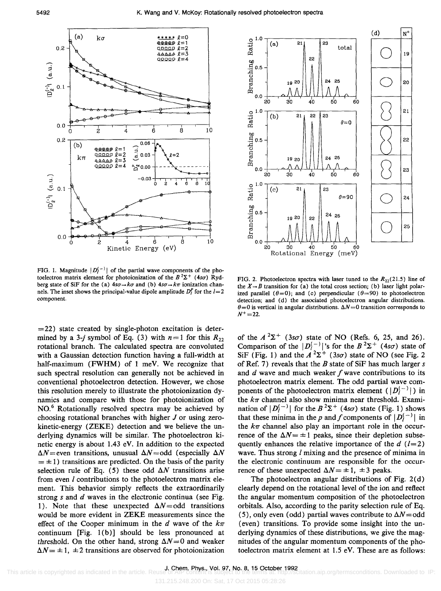

FIG. 1. Magnitude  $|D(-)\rangle$  of the partial wave components of the photoelectron matrix element for photoionization of the  $B^2\Sigma^+$  (4s $\sigma$ ) Rydberg state of SiF for the (a)  $4s\sigma \rightarrow k\sigma$  and (b)  $4s\sigma \rightarrow k\pi$  ionization channels. The inset shows the principal-value dipole amplitude  $D_l^P$  for the  $l=2$ component.

 $= 22$ ) state created by single-photon excitation is determined by a 3-j symbol of Eq. (3) with  $n=1$  for this  $R_{22}$ rotational branch. The calculated spectra are convoluted with a Gaussian detection function having a full-width at half-maximum (FWHM) of 1 meV. We recognize that such spectral resolution can generally not be achieved in conventional photoelectron detection. However, we chose this resolution merely to illustrate the photoionization dynamics and compare with those for photoionization of NO.6 Rotationally resolved spectra may be achieved by choosing rotational branches with higher J or using zerokinetic-energy (ZEKE) detection and we believe the underlying dynamics will be similar. The photoelectron kinetic energy is about 1.43 eV. In addition to the expected  $\Delta N$  = even transitions, unusual  $\Delta N$  = odd (especially  $\Delta N$  $= \pm 1$ ) transitions are predicted. On the basis of the parity selection rule of Eq. (5) these odd  $\Delta N$  transitions arise from even I contributions to the photoelectron matrix element. This behavior simply reflects the extraordinarily strong  $s$  and  $d$  waves in the electronic continua (see Fig. 1). Note that these unexpected  $\Delta N =$ odd transitions would be more evident in ZEKE measurements since the effect of the Cooper minimum in the *d* wave of the  $k\pi$ continuum  $[Fig. 1(b)]$  should be less pronounced at threshold. On the other hand, strong  $\Delta N = 0$  and weaker  $\Delta N = \pm 1$ ,  $\pm 2$  transitions are observed for photoionization



FIG. 2. Photoelectron spectra with laser tuned to the  $R_{22}(21.5)$  line of the  $X \rightarrow B$  transition for (a) the total cross section; (b) laser light polarized parallel ( $\theta=0$ ); and (c) perpendicular ( $\theta=90$ ) to photoelectron detection; and (d) the associated photoelectron angular distributions.  ${\theta}$ =0 is vertical in angular distributions.  ${\Delta}N$ =0 transition corresponds to  $N^+ = 22.$ 

of the  $A^2\Sigma^+$  (3s $\sigma$ ) state of NO (Refs. 6, 25, and 26). Comparison of the  $|D_{l}^{(-)}|$ 's for the  $B^{2}\Sigma^{+}$  (4s $\sigma$ ) state of SiF (Fig. 1) and the  $A^2\Sigma^+$  (3s $\sigma$ ) state of NO (see Fig. 2) of Ref. 7) reveals that the *B* state of SiF has much larger s and  $d$  wave and much weaker  $f$  wave contributions to its photoelectron matrix element. The odd partial wave components of the photoelectron matrix element  $(|D_i^{(-)}|)$  in the  $k\pi$  channel also show minima near threshold. Examination of  $|D_{i}^{(-)}|$  for the  $B^{2}\Sigma^{+}$  (4s $\sigma$ ) state (Fig. 1) shows that these minima in the p and f components of  $|D_{l}^{(-)}|$  in the  $k\pi$  channel also play an important role in the occurrence of the  $\Delta N = \pm 1$  peaks, since their depletion subsequently enhances the relative importance of the  $d$  ( $l=2$ ) wave. Thus strong *l* mixing and the presence of minima in the electronic continuum are responsible for the occurrence of these unexpected  $\Delta N = \pm 1$ ,  $\pm 3$  peaks.

The photoelectron angular distributions of Fig.  $2(d)$ clearly depend on the rotational level of the ion and reflect the angular momentum composition of the photoelectron orbitals. Also, according to the parity selection rule of Eq. (5), only even (odd) partial waves contribute to  $\Delta N =$ odd (even) transitions. To provide some insight into the underlying dynamics of these distributions, we give the magnitudes of the angular momentum components of the photoelectron matrix element at 1.5 eV. These are as follows: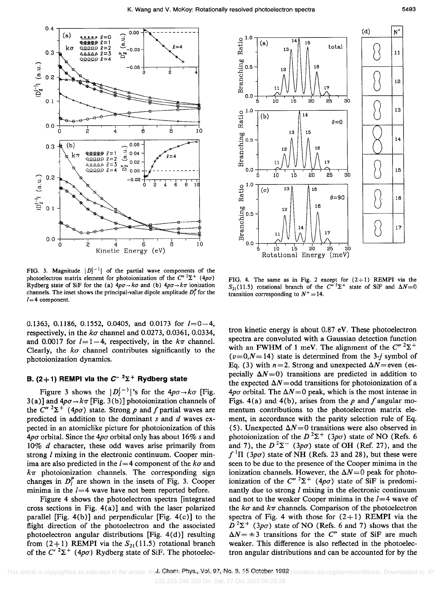

FIG. 3. Magnitude  $|D_{l}^{(-)}|$  of the partial wave components of the photoelectron matrix element for photoionization of the  $C''^{2}\Sigma^{+}$  (4p $\sigma$ ) Rydberg state of SiF for the (a)  $4p\sigma \rightarrow k\sigma$  and (b)  $4p\sigma \rightarrow k\pi$  ionization channels. The inset shows the principal-value dipole amplitude  $D_l^P$  for the  $l=4$  component.

0.1363, 0.1186, 0.1552, 0.0405, and 0.0173 for *1=0-4,*  respectively, in the  $k\sigma$  channel and 0.0273, 0.0361, 0.0334, and 0.0017 for  $l=1-4$ , respectively, in the  $k\pi$  channel. Clearly, the  $k\sigma$  channel contributes significantly to the photoionization dynamics.

### **B.** (2+1) **REMPI** via the  $C''$  <sup>2</sup> $\Sigma$ <sup>+</sup> **Rydberg state**

Figure 3 shows the  $|D_{l}^{(-)}|$ 's for the  $4p\sigma \rightarrow k\sigma$  [Fig.  $3(a)$ ] and  $4p\sigma \rightarrow k\pi$  [Fig. 3(b)] photoionization channels of the  $C''$  <sup>2</sup> $\Sigma$ <sup>+</sup> (4*p* $\sigma$ ) state. Strong *p* and *f* partial waves are predicted in addition to the dominant  $s$  and  $d$  waves expected in an atomiclike picture for photoionization of this  $4p\sigma$  orbital. Since the  $4p\sigma$  orbital only has about 16% s and *10% d* character, these odd waves arise primarily from strong *l* mixing in the electronic continuum. Cooper minima are also predicted in the  *component of the*  $k\sigma$  *and*  $k\pi$  photoionization channels. The corresponding sign changes in  $D_l^P$  are shown in the insets of Fig. 3. Cooper minima in the *1=4* wave have not been reported before.

Figure 4 shows the photoelectron spectra [integrated cross sections in Fig.  $4(a)$ ] and with the laser polarized parallel [Fig.  $4(b)$ ] and perpendicular [Fig.  $4(c)$ ] to the flight direction of the photoelectron and the associated photoelectron angular distributions [Fig. 4(d)] resulting from  $(2+1)$  REMPI via the  $S_{21}(11.5)$  rotational branch of the C'  $2\Sigma^+$  (4p $\sigma$ ) Rydberg state of SiF. The photoelec-



FIG. 4. The same as in Fig. 2 except for  $(2+1)$  REMPI via the  $S_{21}(11.5)$  rotational branch of the  $C''$   $2\Sigma^+$  state of SiF and  $\Delta N=0$ transition corresponding to  $N^+ = 14$ .

tron kinetic energy is about 0.87 eV. These photoelectron spectra are convoluted with a Gaussian detection function with an FWHM of 1 meV. The alignment of the  $C''$ <sup>2</sup> $\Sigma^+$  $(v=0,N=14)$  state is determined from the 3-j symbol of Eq. (3) with  $n=2$ . Strong and unexpected  $\Delta N$ =even (especially  $\Delta N = 0$ ) transitions are predicted in addition to the expected  $\Delta N =$ odd transitions for photoionization of a  $4p\sigma$  orbital. The  $\Delta N = 0$  peak, which is the most intense in Figs. 4(a) and 4(b), arises from the p and f angular momentum contributions to the photoelectron matrix element, in accordance with the parity selection rule of Eq. (5). Unexpected  $\Delta N=0$  transitions were also observed in photoionization of the  $D^2\Sigma^+$  (3p $\sigma$ ) state of NO (Refs. 6 and 7), the  $D^2\Sigma^-$  (3p $\sigma$ ) state of OH (Ref. 27), and the  $f<sup>1</sup>$ II (3*po*) state of NH (Refs. 23 and 28), but these were seen to be due to the presence of the Cooper minima in the ionization channels. However, the  $\Delta N = 0$  peak for photoionization of the  $C''$ <sup>2</sup> $\Sigma$ <sup>+</sup> (4p $\sigma$ ) state of SiF is predominantly due to strong  $l$  mixing in the electronic continuum and not to the weaker Cooper minima in the *1=4* wave of the  $k\sigma$  and  $k\pi$  channels. Comparison of the photoelectron spectra of Fig. 4 with those for  $(2+1)$  REMPI via the  $D^2\Sigma^+$  (3p $\sigma$ ) state of NO (Refs. 6 and 7) shows that the  $\Delta N = \pm 3$  transitions for the C'' state of SiF are much weaker. This difference is also reflected in the photoelectron angular distributions and can be accounted for by the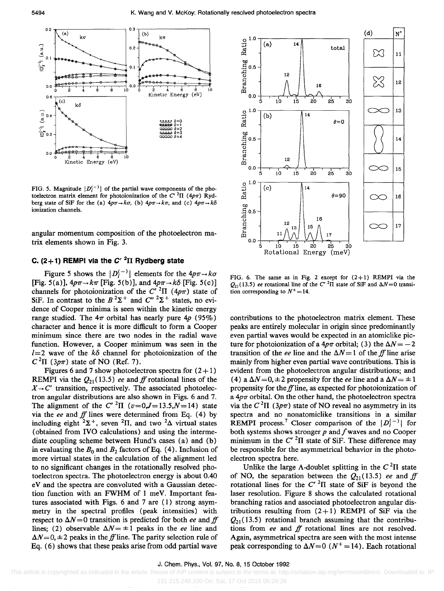

FIG. 5. Magnitude  $|D_{\ell}^{(-)}|$  of the partial wave components of the photoelectron matrix element for photoionization of the  $C'$  <sup>2</sup> $\Pi$  (4p $\pi$ ) Rydberg state of SiF for the (a)  $4p\pi \rightarrow k\sigma$ , (b)  $4p\pi \rightarrow k\pi$ , and (c)  $4p\pi \rightarrow k\delta$ ionization channels.

angular momentum composition of the photoelectron matrix elements shown in Fig. 3.

# C.  $(2+1)$  REMPI via the  $C'$ <sup>2</sup> $\Pi$  Rydberg state

Figure 5 shows the  $|D^{(-)}|$  elements for the  $4p\pi \rightarrow k\sigma$ [Fig. 5(a)],  $4p\pi \rightarrow k\pi$  [Fig. 5(b)], and  $4p\pi \rightarrow k\delta$  [Fig. 5(c)] channels for photoionization of the  $C'$ <sup>2</sup> $\Pi$  (4 $p\pi$ ) state of SiF. In contrast to the  $B^2\Sigma^+$  and  $C''^2\Sigma^+$  states, no evidence of Cooper minima is seen within the kinetic energy range studied. The  $4\pi$  orbital has nearly pure  $4p$  (95%) character and hence it is more difficult to form a Cooper minimum since there are two nodes in the radial wave function. However, a Cooper minimum was seen in the  $l=2$  wave of the  $k\delta$  channel for photoionization of the  $C^2\Pi$  (3p $\pi$ ) state of NO (Ref. 7).

Figures 6 and 7 show photoelectron spectra for  $(2+1)$ **REMPI** via the  $Q_{21}(13.5)$  *ee* and *ff* rotational lines of the  $X \rightarrow C'$  transition, respectively. The associated photoelectron angular distributions are also shown in Figs. 6 and 7. The alignment of the  $C'$ <sup>2</sup> $\Pi$  ( $v=0, J=13.5, N=14$ ) state via the *ee* and *ff* lines were determined from Eq. (4) by including eight  $2\Sigma^+$ , seven  $2\Pi$ , and two  $2\Delta$  virtual states (obtained from IVO calculations) and using the intermediate coupling scheme between Hund's cases (a) and (b) in evaluating the  $B_0$  and  $B_2$  factors of Eq. (4). Inclusion of more virtual states in the calculation of the alignment led to no significant changes in the rotationally resolved photoelectron spectra. The photoelectron energy is about 0.40 eV and the spectra are convoluted with a Gaussian detection function with an FWHM of I meV. Important features associated with Figs. 6 and 7 are (I) strong asymmetry in the spectral profiles (peak intensities) with respect to  $\Delta N = 0$  transition is predicted for both *ee* and *ff* lines; (2) observable  $\Delta N = \pm 1$  peaks in the *ee* line and  $\Delta N=0, \pm 2$  peaks in the ff line. The parity selection rule of Eq. (6) shows that these peaks arise from odd partial wave



FIG. 6. The same as in Fig. 2 except for  $(2+1)$  REMPI via the  $Q_{21}(13.5)$  ee rotational line of the C' <sup>2</sup> $\Pi$  state of SiF and  $\Delta N=0$  transition corresponding to  $N^+ = 14$ .

contributions to the photoelectron matrix element. These peaks are entirely molecular in origin since predominantly even partial waves would be expected in an atomiclike picture for photoionization of a  $4p\pi$  orbital; (3) the  $\Delta N = -2$ transition of the *ee* line and the  $\Delta N = 1$  of the *ff* line arise mainly from higher even partial wave contributions. This is evident from the photoelectron angular distributions; and (4) a  $\Delta N = 0, \pm 2$  propensity for the *ee* line and a  $\Delta N = \pm 1$ propensity for *theffline,* as expected for photoionization of a  $4p\pi$  orbital. On the other hand, the photoelectron spectra via the  $C^2\Pi$  (3p $\pi$ ) state of NO reveal no asymmetry in its spectra and no nonatomiclike transitions in a similar REMPI process.<sup>7</sup> Closer comparison of the  $|D_i^{(-)}|$  for both systems shows stronger *p* and *f* waves and no Cooper minimum in the  $C'$ <sup>2</sup> $\Pi$  state of SiF. These difference may be responsible for the asymmetrical behavior in the photoelectron spectra here.

Unlike the large  $\Lambda$ -doublet splitting in the  $C^2\Pi$  state of NO, the separation between the  $Q_{21}(13.5)$  *ee* and *ff* rotational lines for the  $C'$  <sup>2</sup> $\Pi$  state of SiF is beyond the laser resolution. Figure 8 shows the calculated rotational branching ratios and associated photoelectron angular distributions resulting from  $(2+1)$  REMPI of SiF via the  $Q_{21}$ (13.5) rotational branch assuming that the contributions from *ee* and *ff* rotational lines are not resolved. Again, asymmetrical spectra are seen with the most intense peak corresponding to  $\Delta N=0$  ( $N^+=14$ ). Each rotational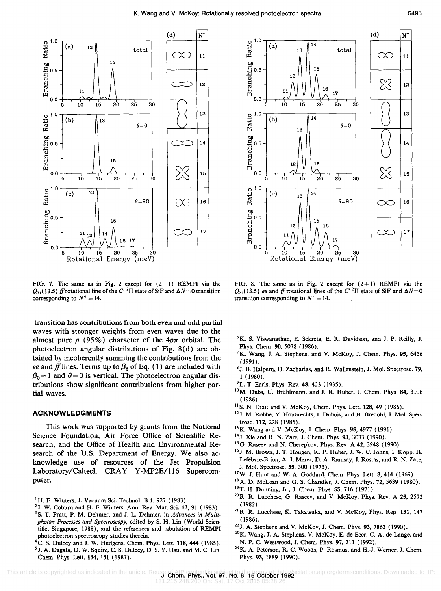'ancl

 $\frac{c}{\Box}$ 



FIG. 7. The same as in Fig. 2 except for  $(2+1)$  REMPI via the  $Q_{21}$ (13.5) *ff* rotational line of the C' <sup>2</sup> $\Pi$  state of SiF and  $\Delta N=0$  transition corresponding to  $N^+ = 14$ .

transition has contributions from both even and odd partial waves with stronger weights from even waves due to the almost pure  $p(95%)$  character of the  $4p\pi$  orbital. The photoelectron angular distributions of Fig. 8(d) are obtained by incoherently summing the contributions from the *ee* and f lines. Terms up to  $\beta_6$  of Eq. (1) are included with  $\beta_0 = 1$  and  $\theta = 0$  is vertical. The photoelectron angular distributions show significant contributions from higher partial waves.

#### **ACKNOWLEDGMENTS**

This work was supported by grants from the National Science Foundation, Air Force Office of Scientific Research, and the Office of Health and Environmental Research of the U.S. Department of Energy. We also acknowledge use of resources of the Jet Propulsion Laboratory/Caltech CRAY Y-MP2E/116 Supercomputer.

- <sup>1</sup>H. F. Winters, J. Vacuum Sci. Technol. B 1, 927 (1983).
- <sup>2</sup> J. W. Coburn and H. F. Winters, Ann. Rev. Mat. Sci. 13, 91 (1983). <sup>3</sup> S. T. Pratt, P. M. Dehmer, and J. L. Dehmer, in *Advances in Multiphoton Processes and Spectroscopy,* edited by S. H. Lin (World Scientific, Singapore, 1988), and the references and tabulation of REMPI photoelectron spectroscopy studies therein.
- 4C. S. Dulcey and J. W. Hudgens, Chern. Phys. Lett. 118,444 (1985). <sup>5</sup> J. A. Dagata, D. W. Squire, C. S. Dulcey, D. S. Y. Hsu, and M. C. Lin, Chern. Phys. Lett. 134, 151 (1987).



FIG. 8. The same as in Fig. 2 except for  $(2+1)$  REMPI via the  $Q_{21}$ (13.5) *ee* and ff rotational lines of the C' <sup>2</sup>II state of SiF and  $\Delta N=0$ transition corresponding to  $N^+$  = 14.

- 6K. S. Viswanathan, E. Sekreta, E. R. Davidson, and J. P. Reilly, J. Phys. Chem. 90, 5078 (1986).
- <sup>7</sup>K. Wang, J. A. Stephens, and V. McKoy, J. Chem. Phys. 95, 6456 (1991).
- 8J. B. Halpern, H. Zacharias, and R. Wallenstein, J. Mol. Spectrosc. 79, 1 (1980).
- $^{9}$  L. T. Earls, Phys. Rev. 48, 423 (1935).
- <sup>10</sup>M. Dubs, U. Brühlmann, and J. R. Huber, J. Chem. Phys. 84, 3106  $(1986).$
- <sup>11</sup>S. N. Dixit and V. McKoy, Chem. Phys. Lett. 128, 49 (1986).
- 12 J. M. Robbe, Y. Houbrechts, I. Dubois, and H. Bredohl, J. Mol. Spectrosc. 112, 228 (1985).
- <sup>13</sup> K. Wang and V. McKoy, J. Chem. Phys. 95, 4977 (1991).
- 14J. Xie and R. N. Zare, J. Chern. Phys. 93, 3033 (1990).
- 15G. Raseev and N. Cherepkov, Phys. Rev. A 42,3948 (1990).
- <sup>16</sup> J. M. Brown, J. T. Hougen, K. P. Huber, J. W. C. Johns, I. Kopp, H. Lefebvre-Brion, A. J. Merer, D. A. Ramsay, J. Rostas, and R. N. Zare, J. Mol. Spectrosc. 55, 500 (1975).
- I7W. J. Hunt and W. A. Goddard, Chern. Phys. Lett. 3, 414 (1969).
- 18A. D. McLean and G. S. Chandler, J. Chern. Phys. 72, 5639 (\980).
- 19T. H. Dunning, Jr., J. Chern. Phys. 55, 716 (\971).
- 2oR. R. Lucchese, G. Raseev, and V. McKoy, Phys. Rev. A 25, 2572 (1982) .
- 21 R. R. Lucchese, K. Takatsuka, and V. McKoy, Phys. Rep. 131, 147 (1986).
- 22J. A. Stephens and V. McKoy, J. Chern. Phys. 93, 7863 (1990).
- <sup>23</sup> K. Wang, J. A. Stephens, V. McKoy, E. de Beer, C. A. de Lange, and N. P. C. Westwood, J. Chern. Phys. 97, 211 (1992).
- <sup>24</sup> K. A. Peterson, R. C. Woods, P. Rosmus, and H.-J. Werner, J. Chem. Phys. 93, 1889 (1990).